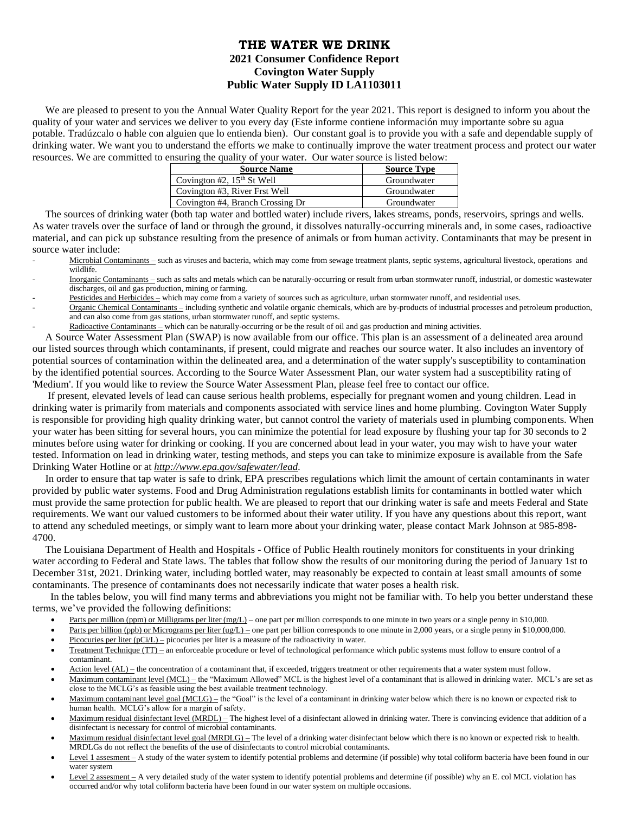## **THE WATER WE DRINK 2021 Consumer Confidence Report Covington Water Supply Public Water Supply ID LA1103011**

We are pleased to present to you the Annual Water Quality Report for the year 2021. This report is designed to inform you about the quality of your water and services we deliver to you every day (Este informe contiene información muy importante sobre su agua potable. Tradúzcalo o hable con alguien que lo entienda bien). Our constant goal is to provide you with a safe and dependable supply of drinking water. We want you to understand the efforts we make to continually improve the water treatment process and protect our water resources. We are committed to ensuring the quality of your water. Our water source is listed below:

| <b>Source Name</b>               | <b>Source Type</b> |
|----------------------------------|--------------------|
| Covington #2, $15th$ St Well     | Groundwater        |
| Covington #3, River Frst Well    | Groundwater        |
| Covington #4, Branch Crossing Dr | Groundwater        |
|                                  |                    |

 The sources of drinking water (both tap water and bottled water) include rivers, lakes streams, ponds, reservoirs, springs and wells. As water travels over the surface of land or through the ground, it dissolves naturally-occurring minerals and, in some cases, radioactive material, and can pick up substance resulting from the presence of animals or from human activity. Contaminants that may be present in source water include:

- Microbial Contaminants such as viruses and bacteria, which may come from sewage treatment plants, septic systems, agricultural livestock, operations and wildlife.
- Inorganic Contaminants such as salts and metals which can be naturally-occurring or result from urban stormwater runoff, industrial, or domestic wastewater discharges, oil and gas production, mining or farming.
- Pesticides and Herbicides which may come from a variety of sources such as agriculture, urban stormwater runoff, and residential uses.
- Organic Chemical Contaminants including synthetic and volatile organic chemicals, which are by-products of industrial processes and petroleum production, and can also come from gas stations, urban stormwater runoff, and septic systems.
- Radioactive Contaminants which can be naturally-occurring or be the result of oil and gas production and mining activities.

 A Source Water Assessment Plan (SWAP) is now available from our office. This plan is an assessment of a delineated area around our listed sources through which contaminants, if present, could migrate and reaches our source water. It also includes an inventory of potential sources of contamination within the delineated area, and a determination of the water supply's susceptibility to contamination by the identified potential sources. According to the Source Water Assessment Plan, our water system had a susceptibility rating of 'Medium'. If you would like to review the Source Water Assessment Plan, please feel free to contact our office.

 If present, elevated levels of lead can cause serious health problems, especially for pregnant women and young children. Lead in drinking water is primarily from materials and components associated with service lines and home plumbing. Covington Water Supply is responsible for providing high quality drinking water, but cannot control the variety of materials used in plumbing components. When your water has been sitting for several hours, you can minimize the potential for lead exposure by flushing your tap for 30 seconds to 2 minutes before using water for drinking or cooking. If you are concerned about lead in your water, you may wish to have your water tested. Information on lead in drinking water, testing methods, and steps you can take to minimize exposure is available from the Safe Drinking Water Hotline or at *[http://www.epa.gov/safewater/lead.](http://www.epa.gov/safewater/lead)*

 In order to ensure that tap water is safe to drink, EPA prescribes regulations which limit the amount of certain contaminants in water provided by public water systems. Food and Drug Administration regulations establish limits for contaminants in bottled water which must provide the same protection for public health. We are pleased to report that our drinking water is safe and meets Federal and State requirements. We want our valued customers to be informed about their water utility. If you have any questions about this report, want to attend any scheduled meetings, or simply want to learn more about your drinking water, please contact Mark Johnson at 985-898- 4700.

 The Louisiana Department of Health and Hospitals - Office of Public Health routinely monitors for constituents in your drinking water according to Federal and State laws. The tables that follow show the results of our monitoring during the period of January 1st to December 31st, 2021. Drinking water, including bottled water, may reasonably be expected to contain at least small amounts of some contaminants. The presence of contaminants does not necessarily indicate that water poses a health risk.

 In the tables below, you will find many terms and abbreviations you might not be familiar with. To help you better understand these terms, we've provided the following definitions:

- Parts per million (ppm) or Milligrams per liter  $\frac{mg}{L}$  one part per million corresponds to one minute in two years or a single penny in \$10,000.
- Parts per billion (ppb) or Micrograms per liter (ug/L) one part per billion corresponds to one minute in 2,000 years, or a single penny in \$10,000,000.
- Picocuries per liter (pCi/L) picocuries per liter is a measure of the radioactivity in water.
- Treatment Technique (TT) an enforceable procedure or level of technological performance which public systems must follow to ensure control of a contaminant.
- Action level (AL) the concentration of a contaminant that, if exceeded, triggers treatment or other requirements that a water system must follow.
- Maximum contaminant level (MCL) the "Maximum Allowed" MCL is the highest level of a contaminant that is allowed in drinking water. MCL's are set as close to the MCLG's as feasible using the best available treatment technology.
- Maximum contaminant level goal (MCLG) the "Goal" is the level of a contaminant in drinking water below which there is no known or expected risk to human health. MCLG's allow for a margin of safety.
- Maximum residual disinfectant level (MRDL) The highest level of a disinfectant allowed in drinking water. There is convincing evidence that addition of a disinfectant is necessary for control of microbial contaminants.
- Maximum residual disinfectant level goal (MRDLG) The level of a drinking water disinfectant below which there is no known or expected risk to health. MRDLGs do not reflect the benefits of the use of disinfectants to control microbial contaminants.
- Level 1 assesment A study of the water system to identify potential problems and determine (if possible) why total coliform bacteria have been found in our water system
- Level 2 assesment A very detailed study of the water system to identify potential problems and determine (if possible) why an E. col MCL violation has occurred and/or why total coliform bacteria have been found in our water system on multiple occasions.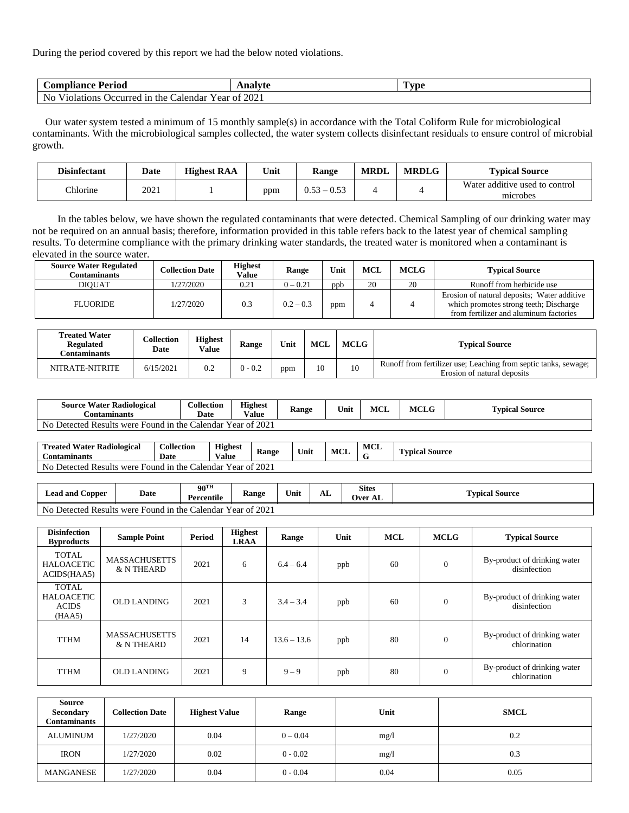During the period covered by this report we had the below noted violations.

| $\cup$ om<br>Period<br>oliance                                | 300<br><u> 111141</u> | `vne |
|---------------------------------------------------------------|-----------------------|------|
| Nc<br>Violations<br>, Occurred in the f<br>alendar<br>rear of | 202 <sub>1</sub>      |      |

 Our water system tested a minimum of 15 monthly sample(s) in accordance with the Total Coliform Rule for microbiological contaminants. With the microbiological samples collected, the water system collects disinfectant residuals to ensure control of microbial growth.

| <b>Disinfectant</b> | <b>Date</b> | <b>Highest RAA</b> | Unit | Range         | <b>MRDL</b> | <b>MRDLG</b> | <b>Typical Source</b>                      |
|---------------------|-------------|--------------------|------|---------------|-------------|--------------|--------------------------------------------|
| <b>Thlorine</b>     | 2021        |                    | ppm  | $-0.53$<br>52 |             |              | Water additive used to control<br>microbes |

 In the tables below, we have shown the regulated contaminants that were detected. Chemical Sampling of our drinking water may not be required on an annual basis; therefore, information provided in this table refers back to the latest year of chemical sampling results. To determine compliance with the primary drinking water standards, the treated water is monitored when a contaminant is elevated in the source water.

| <b>Source Water Regulated</b><br>Contaminants | <b>Collection Date</b> | <b>Highest</b><br><b>Value</b> | Range       | Unit | <b>MCL</b> | <b>MCLG</b> | <b>Typical Source</b>                                                                                                           |
|-----------------------------------------------|------------------------|--------------------------------|-------------|------|------------|-------------|---------------------------------------------------------------------------------------------------------------------------------|
| DIOUAT                                        | 1/27/2020              | 0.21                           | $0 - 0.21$  | ppb  | 20         | 20          | Runoff from herbicide use                                                                                                       |
| <b>FLUORIDE</b>                               | 1/27/2020              | 0.3                            | $0.2 - 0.3$ | ppm  |            |             | Erosion of natural deposits; Water additive<br>which promotes strong teeth; Discharge<br>from fertilizer and aluminum factories |

| <b>Treated Water</b><br><b>Regulated</b><br>dontaminants: | <b>Collection</b><br>Date | <b>Highest</b><br>Value | <b>Range</b> | Unit | <b>MCL</b> | <b>MCLG</b> | <b>Typical Source</b>                                                                          |
|-----------------------------------------------------------|---------------------------|-------------------------|--------------|------|------------|-------------|------------------------------------------------------------------------------------------------|
| NITRATE-NITRITE                                           | 6/15/2021                 | 0.2                     | $0 - 0.2$    | ppm  | 10         | 10          | Runoff from fertilizer use; Leaching from septic tanks, sewage;<br>Erosion of natural deposits |

| <b>Source Water Radiological</b><br><b>Contaminants</b>         | <b>Collection</b><br><b>Date</b> | <b>Highest</b><br>Value | Range | Unit | <b>MCL</b> | MCLG | l'ypical Source |
|-----------------------------------------------------------------|----------------------------------|-------------------------|-------|------|------------|------|-----------------|
| No.<br>Detected Results were Found in the Calendar Year of 2021 |                                  |                         |       |      |            |      |                 |

| m.<br>$\cdots$<br>Radiological<br>Water<br>' reated<br>Contaminants                         | <b>Collection</b><br>Date | <b>Highest</b><br>'alue | Range | Unit | MCI | <b>MCL</b> | <b>CONTRACTOR</b><br><i><b>vpical Source</b></i> |
|---------------------------------------------------------------------------------------------|---------------------------|-------------------------|-------|------|-----|------------|--------------------------------------------------|
| Year of 2021<br>N <sub>0</sub><br>Detected Results<br>in the C<br>alendar:<br>were<br>Found |                           |                         |       |      |     |            |                                                  |

| Lead and $\prime$<br>$\mathcal{L}$ opper                                                                | Date | $90^{\text{TH}}$<br><b>Percentile</b> | –<br><b>Range</b> | Unit | AL | <b>Sites</b><br><b>Over AL</b> | m.<br><b>Typical Source</b> |
|---------------------------------------------------------------------------------------------------------|------|---------------------------------------|-------------------|------|----|--------------------------------|-----------------------------|
| f 2021<br>N <sub>0</sub><br>Detected Results<br>. `alendar Year of '<br>: Found in the C<br><i>were</i> |      |                                       |                   |      |    |                                |                             |

| <b>Disinfection</b><br><b>Byproducts</b>                    | <b>Sample Point</b>                | Period | <b>Highest</b><br><b>LRAA</b> | Range         | Unit | <b>MCL</b> | <b>MCLG</b> | <b>Typical Source</b>                        |
|-------------------------------------------------------------|------------------------------------|--------|-------------------------------|---------------|------|------------|-------------|----------------------------------------------|
| <b>TOTAL</b><br><b>HALOACETIC</b><br>ACIDS(HAA5)            | <b>MASSACHUSETTS</b><br>& N THEARD | 2021   | 6                             | $6.4 - 6.4$   | ppb  | 60         | $\theta$    | By-product of drinking water<br>disinfection |
| <b>TOTAL</b><br><b>HALOACETIC</b><br><b>ACIDS</b><br>(HAA5) | <b>OLD LANDING</b>                 | 2021   | 3                             | $3.4 - 3.4$   | ppb  | 60         | $\theta$    | By-product of drinking water<br>disinfection |
| <b>TTHM</b>                                                 | <b>MASSACHUSETTS</b><br>& N THEARD | 2021   | 14                            | $13.6 - 13.6$ | ppb  | 80         | $\theta$    | By-product of drinking water<br>chlorination |
| <b>TTHM</b>                                                 | <b>OLD LANDING</b>                 | 2021   | 9                             | $9 - 9$       | ppb  | 80         | $\theta$    | By-product of drinking water<br>chlorination |

| <b>Source</b><br><b>Secondary</b><br>Contaminants | <b>Collection Date</b> | <b>Highest Value</b> | Range      | Unit | SMCL |
|---------------------------------------------------|------------------------|----------------------|------------|------|------|
| <b>ALUMINUM</b>                                   | 1/27/2020              | 0.04                 | $0 - 0.04$ | mg/1 | 0.2  |
| <b>IRON</b>                                       | 1/27/2020              | 0.02                 | $0 - 0.02$ | mg/1 | 0.3  |
| MANGANESE                                         | 1/27/2020              | 0.04                 | $0 - 0.04$ | 0.04 | 0.05 |